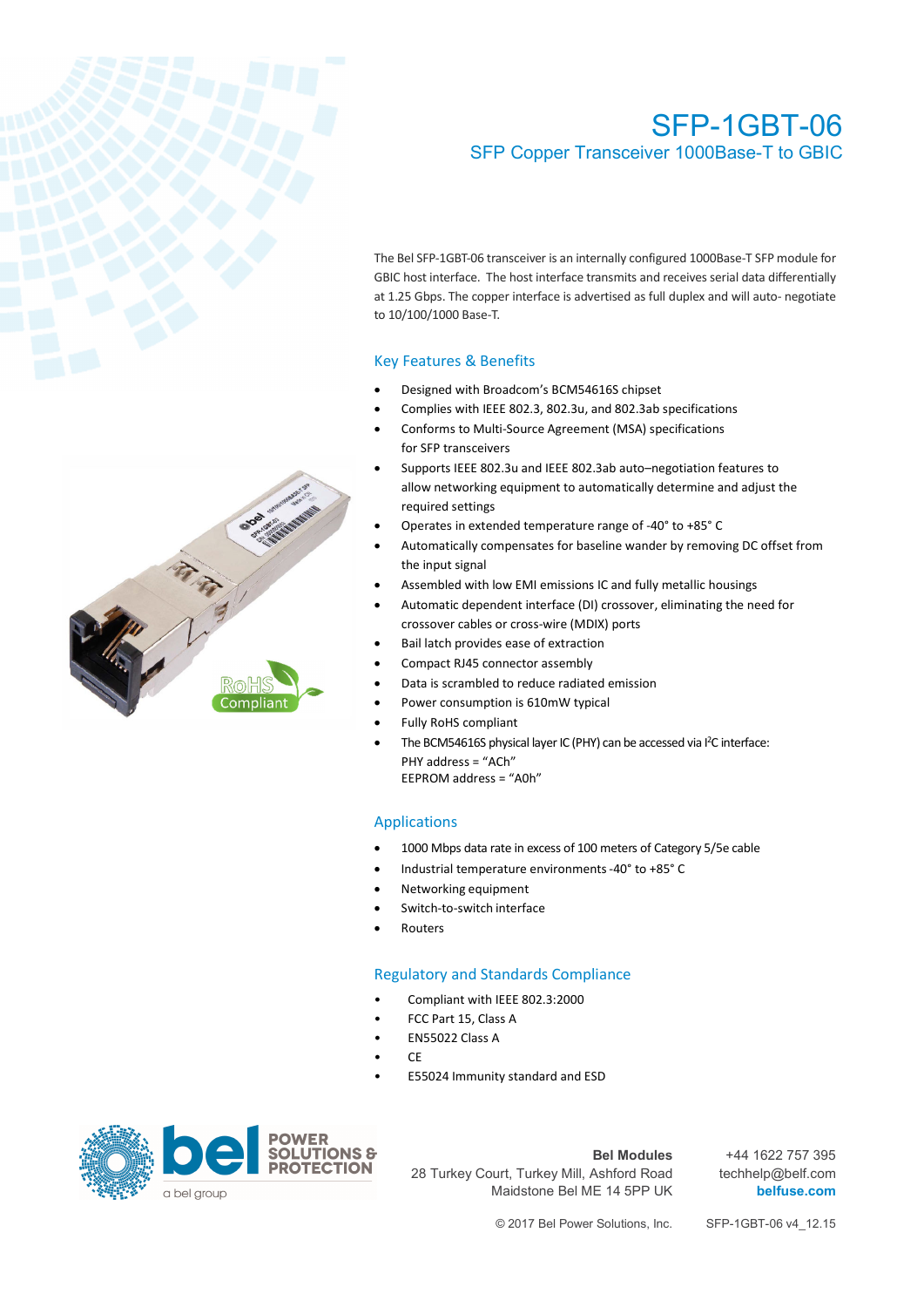

# SFP-1GBT-06 SFP Copper Transceiver 1000Base-T to GBIC

The Bel SFP-1GBT-06 transceiver is an internally configured 1000Base-T SFP module for GBIC host interface. The host interface transmits and receives serial data differentially at 1.25 Gbps. The copper interface is advertised as full duplex and will auto- negotiate to 10/100/1000 Base-T.

# Key Features & Benefits

- Designed with Broadcom's BCM54616S chipset
- Complies with IEEE 802.3, 802.3u, and 802.3ab specifications
- Conforms to Multi-Source Agreement (MSA) specifications for SFP transceivers
- Supports IEEE 802.3u and IEEE 802.3ab auto–negotiation features to allow networking equipment to automatically determine and adjust the required settings
- Operates in extended temperature range of -40° to +85° C
- Automatically compensates for baseline wander by removing DC offset from the input signal
- Assembled with low EMI emissions IC and fully metallic housings
- Automatic dependent interface (DI) crossover, eliminating the need for crossover cables or cross-wire (MDIX) ports
- Bail latch provides ease of extraction
- Compact RJ45 connector assembly
- Data is scrambled to reduce radiated emission
- Power consumption is 610mW typical
- Fully RoHS compliant
- The BCM54616S physical layer IC (PHY) can be accessed via I<sup>2</sup>C interface: PHY address = "ACh" EEPROM address = "A0h"

## Applications

- 1000 Mbps data rate in excess of 100 meters of Category 5/5e cable
- Industrial temperature environments -40° to +85° C
- Networking equipment
- Switch-to-switch interface
- **Routers**

## Regulatory and Standards Compliance

- Compliant with IEEE 802.3:2000
- FCC Part 15, Class A
- EN55022 Class A
- CE
- E55024 Immunity standard and ESD



#### **Bel Modules**

28 Turkey Court, Turkey Mill, Ashford Road Maidstone Bel ME 14 5PP UK

+44 1622 757 395 techhelp@belf.com **belfuse.com**

© 2017 Bel Power Solutions, Inc. SFP-1GBT-06 v4\_12.15

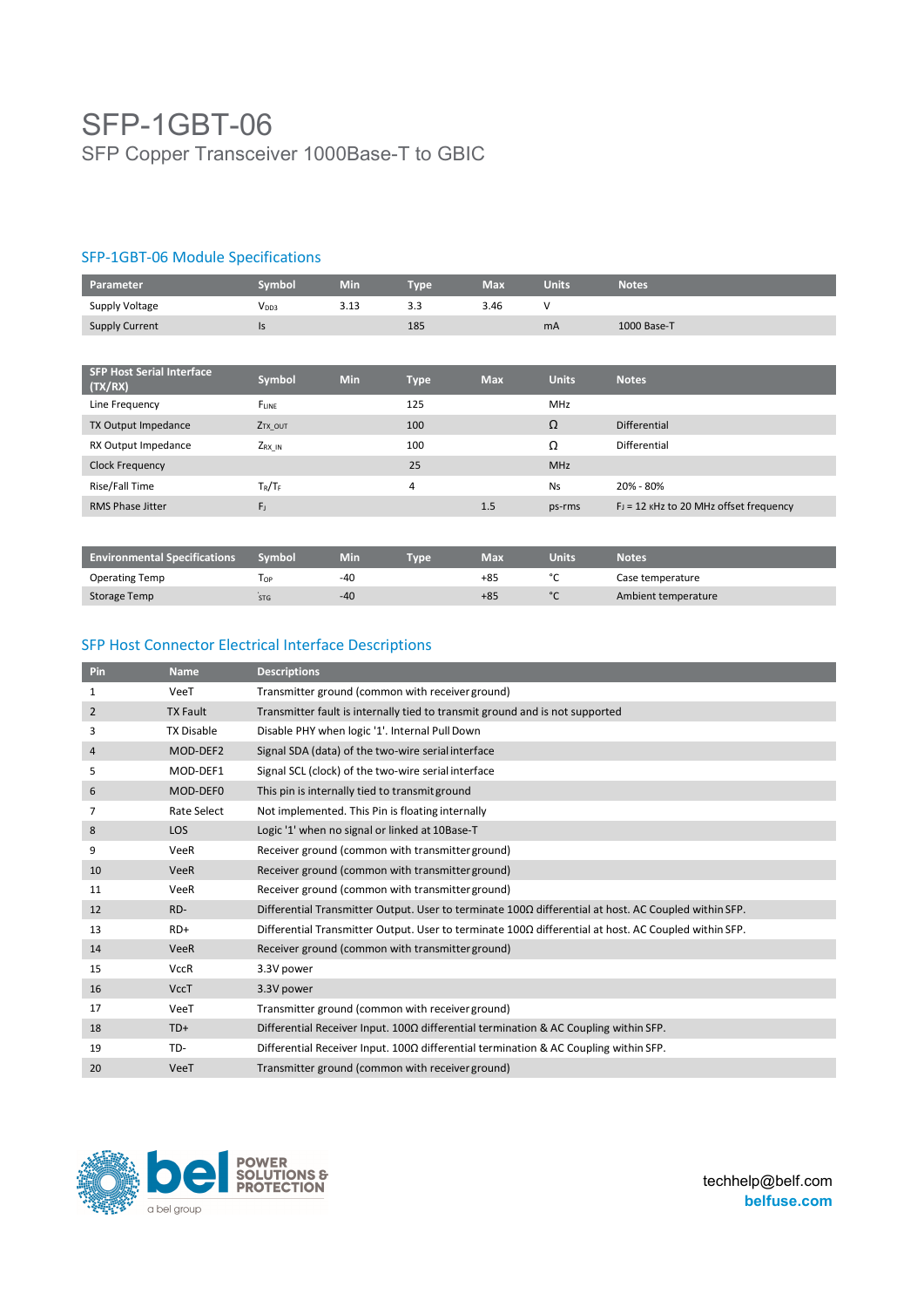# SFP-1GBT-06 SFP Copper Transceiver 1000Base-T to GBIC

# SFP-1GBT-06 Module Specifications

| Parameter                                   | Symbol              | <b>Min</b> | <b>Type</b> | <b>Max</b> | <b>Units</b> | <b>Notes</b>                              |
|---------------------------------------------|---------------------|------------|-------------|------------|--------------|-------------------------------------------|
| Supply Voltage                              | V <sub>DD3</sub>    | 3.13       | 3.3         | 3.46       | $\vee$       |                                           |
| <b>Supply Current</b>                       | Is                  |            | 185         |            | mA           | 1000 Base-T                               |
|                                             |                     |            |             |            |              |                                           |
| <b>SFP Host Serial Interface</b><br>(TX/RX) | Symbol              | <b>Min</b> | <b>Type</b> | <b>Max</b> | <b>Units</b> | <b>Notes</b>                              |
| Line Frequency                              | FLINE               |            | 125         |            | <b>MHz</b>   |                                           |
| TX Output Impedance                         | Z <sub>TX_OUT</sub> |            | 100         |            | Ω            | <b>Differential</b>                       |
| RX Output Impedance                         | $Z_{RX_IN}$         |            | 100         |            | Ω            | Differential                              |
| <b>Clock Frequency</b>                      |                     |            | 25          |            | <b>MHz</b>   |                                           |
| Rise/Fall Time                              | $T_R/T_F$           |            | 4           |            | <b>Ns</b>    | 20% - 80%                                 |
| <b>RMS Phase Jitter</b>                     | F <sub>J</sub>      |            |             | 1.5        | ps-rms       | $F_J = 12$ KHz to 20 MHz offset frequency |
|                                             |                     |            |             |            |              |                                           |
| <b>Environmental Specifications</b>         | Symbol              | <b>Min</b> | <b>Type</b> | <b>Max</b> | <b>Units</b> | <b>Notes</b>                              |
| <b>Operating Temp</b>                       | Top                 | $-40$      |             | $+85$      | °C           | Case temperature                          |

Storage Temp TSTG -40 +85 °C Ambient temperature

# SFP Host Connector Electrical Interface Descriptions

| Pin            | <b>Name</b>        | <b>Descriptions</b>                                                                                         |
|----------------|--------------------|-------------------------------------------------------------------------------------------------------------|
| 1              | VeeT               | Transmitter ground (common with receiver ground)                                                            |
| $\overline{2}$ | <b>TX Fault</b>    | Transmitter fault is internally tied to transmit ground and is not supported                                |
| 3              | <b>TX Disable</b>  | Disable PHY when logic '1'. Internal Pull Down                                                              |
| 4              | MOD-DEF2           | Signal SDA (data) of the two-wire serial interface                                                          |
| 5              | MOD-DEF1           | Signal SCL (clock) of the two-wire serial interface                                                         |
| 6              | MOD-DEF0           | This pin is internally tied to transmit ground                                                              |
| 7              | <b>Rate Select</b> | Not implemented. This Pin is floating internally                                                            |
| 8              | LOS                | Logic '1' when no signal or linked at 10Base-T                                                              |
| 9              | <b>VeeR</b>        | Receiver ground (common with transmitter ground)                                                            |
| 10             | <b>VeeR</b>        | Receiver ground (common with transmitter ground)                                                            |
| 11             | VeeR               | Receiver ground (common with transmitter ground)                                                            |
| 12             | RD-                | Differential Transmitter Output. User to terminate $100\Omega$ differential at host. AC Coupled within SFP. |
| 13             | $RD+$              | Differential Transmitter Output. User to terminate $100\Omega$ differential at host. AC Coupled within SFP. |
| 14             | <b>VeeR</b>        | Receiver ground (common with transmitter ground)                                                            |
| 15             | <b>VccR</b>        | 3.3V power                                                                                                  |
| 16             | <b>VccT</b>        | 3.3V power                                                                                                  |
| 17             | VeeT               | Transmitter ground (common with receiver ground)                                                            |
| 18             | $TD+$              | Differential Receiver Input. $100\Omega$ differential termination & AC Coupling within SFP.                 |
| 19             | TD-                | Differential Receiver Input. $100\Omega$ differential termination & AC Coupling within SFP.                 |
| 20             | VeeT               | Transmitter ground (common with receiver ground)                                                            |



techhelp@belf.com **belfuse.com**